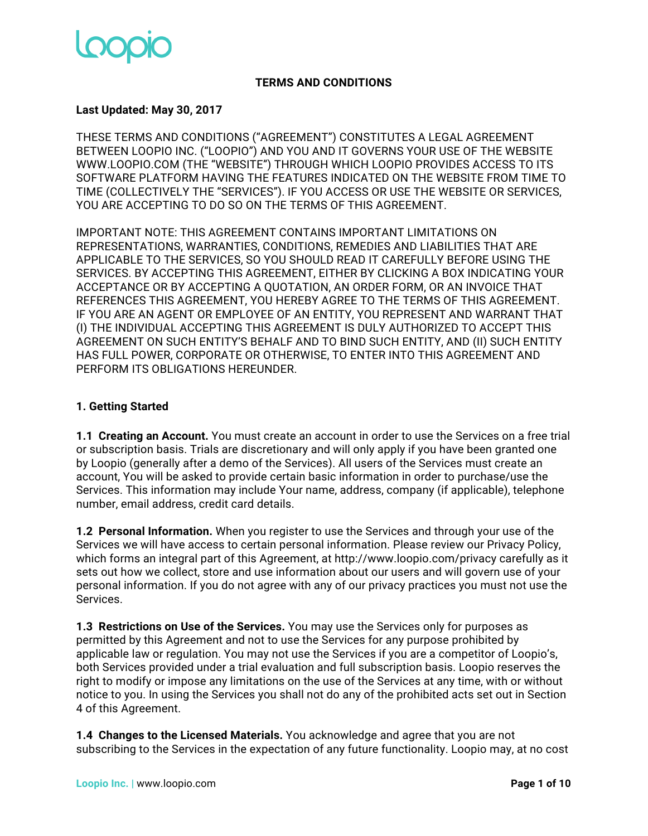

### **TERMS AND CONDITIONS**

### **Last Updated: May 30, 2017**

THESE TERMS AND CONDITIONS ("AGREEMENT") CONSTITUTES A LEGAL AGREEMENT BETWEEN LOOPIO INC. ("LOOPIO") AND YOU AND IT GOVERNS YOUR USE OF THE WEBSITE WWW.LOOPIO.COM (THE "WEBSITE") THROUGH WHICH LOOPIO PROVIDES ACCESS TO ITS SOFTWARE PLATFORM HAVING THE FEATURES INDICATED ON THE WEBSITE FROM TIME TO TIME (COLLECTIVELY THE "SERVICES"). IF YOU ACCESS OR USE THE WEBSITE OR SERVICES, YOU ARE ACCEPTING TO DO SO ON THE TERMS OF THIS AGREEMENT.

IMPORTANT NOTE: THIS AGREEMENT CONTAINS IMPORTANT LIMITATIONS ON REPRESENTATIONS, WARRANTIES, CONDITIONS, REMEDIES AND LIABILITIES THAT ARE APPLICABLE TO THE SERVICES, SO YOU SHOULD READ IT CAREFULLY BEFORE USING THE SERVICES. BY ACCEPTING THIS AGREEMENT, EITHER BY CLICKING A BOX INDICATING YOUR ACCEPTANCE OR BY ACCEPTING A QUOTATION, AN ORDER FORM, OR AN INVOICE THAT REFERENCES THIS AGREEMENT, YOU HEREBY AGREE TO THE TERMS OF THIS AGREEMENT. IF YOU ARE AN AGENT OR EMPLOYEE OF AN ENTITY, YOU REPRESENT AND WARRANT THAT (I) THE INDIVIDUAL ACCEPTING THIS AGREEMENT IS DULY AUTHORIZED TO ACCEPT THIS AGREEMENT ON SUCH ENTITY'S BEHALF AND TO BIND SUCH ENTITY, AND (II) SUCH ENTITY HAS FULL POWER, CORPORATE OR OTHERWISE, TO ENTER INTO THIS AGREEMENT AND PERFORM ITS OBLIGATIONS HEREUNDER.

### **1. Getting Started**

**1.1 Creating an Account.** You must create an account in order to use the Services on a free trial or subscription basis. Trials are discretionary and will only apply if you have been granted one by Loopio (generally after a demo of the Services). All users of the Services must create an account, You will be asked to provide certain basic information in order to purchase/use the Services. This information may include Your name, address, company (if applicable), telephone number, email address, credit card details.

**1.2 Personal Information.** When you register to use the Services and through your use of the Services we will have access to certain personal information. Please review our Privacy Policy, which forms an integral part of this Agreement, at http://www.loopio.com/privacy carefully as it sets out how we collect, store and use information about our users and will govern use of your personal information. If you do not agree with any of our privacy practices you must not use the Services.

**1.3 Restrictions on Use of the Services.** You may use the Services only for purposes as permitted by this Agreement and not to use the Services for any purpose prohibited by applicable law or regulation. You may not use the Services if you are a competitor of Loopio's, both Services provided under a trial evaluation and full subscription basis. Loopio reserves the right to modify or impose any limitations on the use of the Services at any time, with or without notice to you. In using the Services you shall not do any of the prohibited acts set out in Section 4 of this Agreement.

**1.4 Changes to the Licensed Materials.** You acknowledge and agree that you are not subscribing to the Services in the expectation of any future functionality. Loopio may, at no cost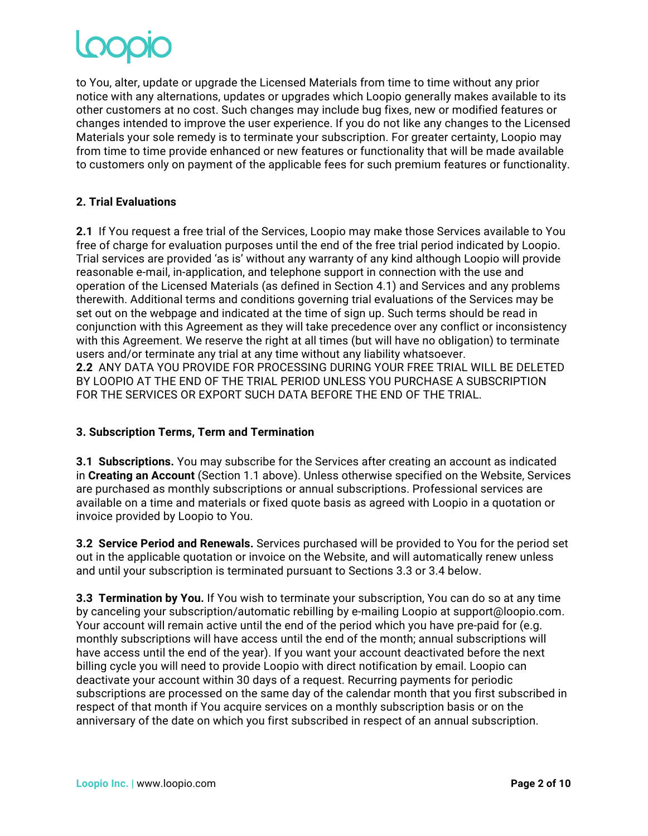to You, alter, update or upgrade the Licensed Materials from time to time without any prior notice with any alternations, updates or upgrades which Loopio generally makes available to its other customers at no cost. Such changes may include bug fixes, new or modified features or changes intended to improve the user experience. If you do not like any changes to the Licensed Materials your sole remedy is to terminate your subscription. For greater certainty, Loopio may from time to time provide enhanced or new features or functionality that will be made available to customers only on payment of the applicable fees for such premium features or functionality.

## **2. Trial Evaluations**

**2.1** If You request a free trial of the Services, Loopio may make those Services available to You free of charge for evaluation purposes until the end of the free trial period indicated by Loopio. Trial services are provided 'as is' without any warranty of any kind although Loopio will provide reasonable e-mail, in-application, and telephone support in connection with the use and operation of the Licensed Materials (as defined in Section 4.1) and Services and any problems therewith. Additional terms and conditions governing trial evaluations of the Services may be set out on the webpage and indicated at the time of sign up. Such terms should be read in conjunction with this Agreement as they will take precedence over any conflict or inconsistency with this Agreement. We reserve the right at all times (but will have no obligation) to terminate users and/or terminate any trial at any time without any liability whatsoever. **2.2** ANY DATA YOU PROVIDE FOR PROCESSING DURING YOUR FREE TRIAL WILL BE DELETED BY LOOPIO AT THE END OF THE TRIAL PERIOD UNLESS YOU PURCHASE A SUBSCRIPTION FOR THE SERVICES OR EXPORT SUCH DATA BEFORE THE END OF THE TRIAL.

### **3. Subscription Terms, Term and Termination**

**3.1 Subscriptions.** You may subscribe for the Services after creating an account as indicated in **Creating an Account** (Section 1.1 above). Unless otherwise specified on the Website, Services are purchased as monthly subscriptions or annual subscriptions. Professional services are available on a time and materials or fixed quote basis as agreed with Loopio in a quotation or invoice provided by Loopio to You.

**3.2 Service Period and Renewals.** Services purchased will be provided to You for the period set out in the applicable quotation or invoice on the Website, and will automatically renew unless and until your subscription is terminated pursuant to Sections 3.3 or 3.4 below.

**3.3 Termination by You.** If You wish to terminate your subscription, You can do so at any time by canceling your subscription/automatic rebilling by e-mailing Loopio at support@loopio.com. Your account will remain active until the end of the period which you have pre-paid for (e.g. monthly subscriptions will have access until the end of the month; annual subscriptions will have access until the end of the year). If you want your account deactivated before the next billing cycle you will need to provide Loopio with direct notification by email. Loopio can deactivate your account within 30 days of a request. Recurring payments for periodic subscriptions are processed on the same day of the calendar month that you first subscribed in respect of that month if You acquire services on a monthly subscription basis or on the anniversary of the date on which you first subscribed in respect of an annual subscription.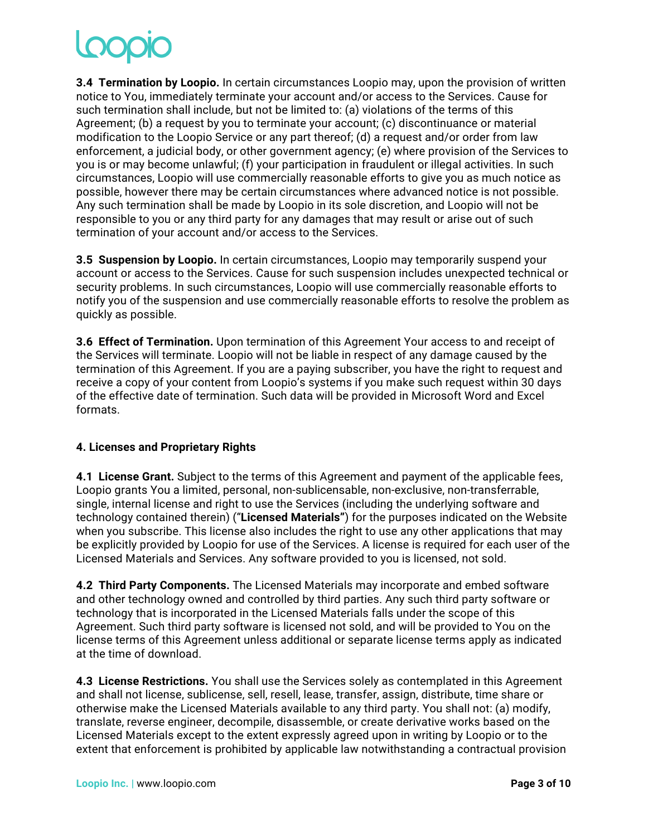**3.4 Termination by Loopio.** In certain circumstances Loopio may, upon the provision of written notice to You, immediately terminate your account and/or access to the Services. Cause for such termination shall include, but not be limited to: (a) violations of the terms of this Agreement; (b) a request by you to terminate your account; (c) discontinuance or material modification to the Loopio Service or any part thereof; (d) a request and/or order from law enforcement, a judicial body, or other government agency; (e) where provision of the Services to you is or may become unlawful; (f) your participation in fraudulent or illegal activities. In such circumstances, Loopio will use commercially reasonable efforts to give you as much notice as possible, however there may be certain circumstances where advanced notice is not possible. Any such termination shall be made by Loopio in its sole discretion, and Loopio will not be responsible to you or any third party for any damages that may result or arise out of such termination of your account and/or access to the Services.

**3.5 Suspension by Loopio.** In certain circumstances, Loopio may temporarily suspend your account or access to the Services. Cause for such suspension includes unexpected technical or security problems. In such circumstances, Loopio will use commercially reasonable efforts to notify you of the suspension and use commercially reasonable efforts to resolve the problem as quickly as possible.

**3.6 Effect of Termination.** Upon termination of this Agreement Your access to and receipt of the Services will terminate. Loopio will not be liable in respect of any damage caused by the termination of this Agreement. If you are a paying subscriber, you have the right to request and receive a copy of your content from Loopio's systems if you make such request within 30 days of the effective date of termination. Such data will be provided in Microsoft Word and Excel formats.

# **4. Licenses and Proprietary Rights**

**4.1 License Grant.** Subject to the terms of this Agreement and payment of the applicable fees, Loopio grants You a limited, personal, non-sublicensable, non-exclusive, non-transferrable, single, internal license and right to use the Services (including the underlying software and technology contained therein) ("**Licensed Materials"**) for the purposes indicated on the Website when you subscribe. This license also includes the right to use any other applications that may be explicitly provided by Loopio for use of the Services. A license is required for each user of the Licensed Materials and Services. Any software provided to you is licensed, not sold.

**4.2 Third Party Components.** The Licensed Materials may incorporate and embed software and other technology owned and controlled by third parties. Any such third party software or technology that is incorporated in the Licensed Materials falls under the scope of this Agreement. Such third party software is licensed not sold, and will be provided to You on the license terms of this Agreement unless additional or separate license terms apply as indicated at the time of download.

**4.3 License Restrictions.** You shall use the Services solely as contemplated in this Agreement and shall not license, sublicense, sell, resell, lease, transfer, assign, distribute, time share or otherwise make the Licensed Materials available to any third party. You shall not: (a) modify, translate, reverse engineer, decompile, disassemble, or create derivative works based on the Licensed Materials except to the extent expressly agreed upon in writing by Loopio or to the extent that enforcement is prohibited by applicable law notwithstanding a contractual provision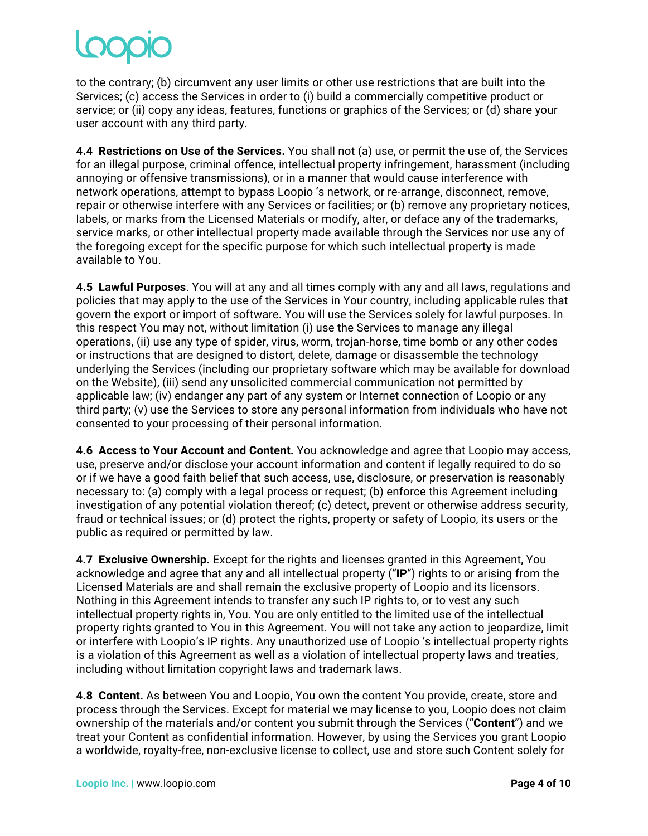to the contrary; (b) circumvent any user limits or other use restrictions that are built into the Services; (c) access the Services in order to (i) build a commercially competitive product or service; or (ii) copy any ideas, features, functions or graphics of the Services; or (d) share your user account with any third party.

**4.4 Restrictions on Use of the Services.** You shall not (a) use, or permit the use of, the Services for an illegal purpose, criminal offence, intellectual property infringement, harassment (including annoying or offensive transmissions), or in a manner that would cause interference with network operations, attempt to bypass Loopio 's network, or re-arrange, disconnect, remove, repair or otherwise interfere with any Services or facilities; or (b) remove any proprietary notices, labels, or marks from the Licensed Materials or modify, alter, or deface any of the trademarks, service marks, or other intellectual property made available through the Services nor use any of the foregoing except for the specific purpose for which such intellectual property is made available to You.

**4.5 Lawful Purposes**. You will at any and all times comply with any and all laws, regulations and policies that may apply to the use of the Services in Your country, including applicable rules that govern the export or import of software. You will use the Services solely for lawful purposes. In this respect You may not, without limitation (i) use the Services to manage any illegal operations, (ii) use any type of spider, virus, worm, trojan-horse, time bomb or any other codes or instructions that are designed to distort, delete, damage or disassemble the technology underlying the Services (including our proprietary software which may be available for download on the Website), (iii) send any unsolicited commercial communication not permitted by applicable law; (iv) endanger any part of any system or Internet connection of Loopio or any third party; (v) use the Services to store any personal information from individuals who have not consented to your processing of their personal information.

**4.6 Access to Your Account and Content.** You acknowledge and agree that Loopio may access, use, preserve and/or disclose your account information and content if legally required to do so or if we have a good faith belief that such access, use, disclosure, or preservation is reasonably necessary to: (a) comply with a legal process or request; (b) enforce this Agreement including investigation of any potential violation thereof; (c) detect, prevent or otherwise address security, fraud or technical issues; or (d) protect the rights, property or safety of Loopio, its users or the public as required or permitted by law.

**4.7 Exclusive Ownership.** Except for the rights and licenses granted in this Agreement, You acknowledge and agree that any and all intellectual property ("**IP**") rights to or arising from the Licensed Materials are and shall remain the exclusive property of Loopio and its licensors. Nothing in this Agreement intends to transfer any such IP rights to, or to vest any such intellectual property rights in, You. You are only entitled to the limited use of the intellectual property rights granted to You in this Agreement. You will not take any action to jeopardize, limit or interfere with Loopio's IP rights. Any unauthorized use of Loopio 's intellectual property rights is a violation of this Agreement as well as a violation of intellectual property laws and treaties, including without limitation copyright laws and trademark laws.

**4.8 Content.** As between You and Loopio, You own the content You provide, create, store and process through the Services. Except for material we may license to you, Loopio does not claim ownership of the materials and/or content you submit through the Services ("**Content**") and we treat your Content as confidential information. However, by using the Services you grant Loopio a worldwide, royalty-free, non-exclusive license to collect, use and store such Content solely for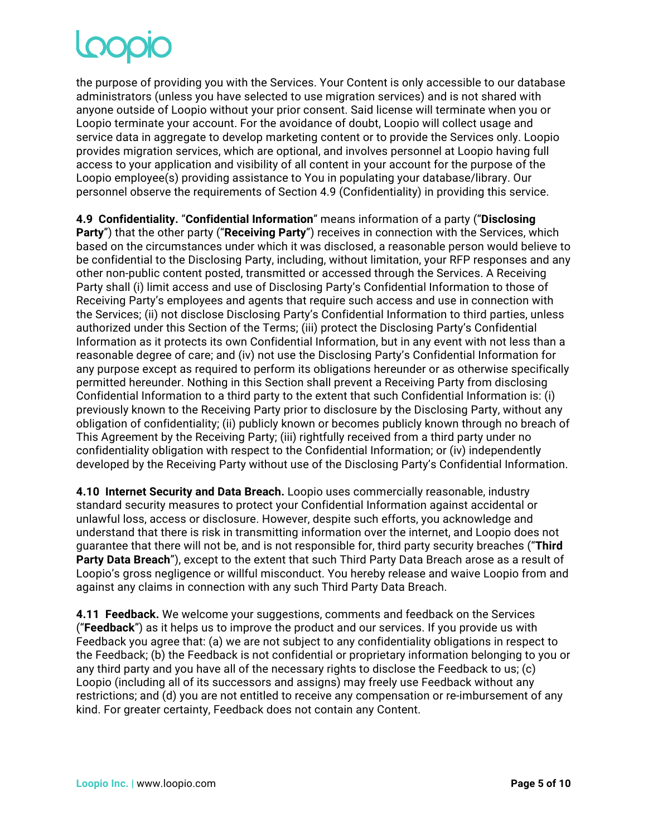# Loopic

the purpose of providing you with the Services. Your Content is only accessible to our database administrators (unless you have selected to use migration services) and is not shared with anyone outside of Loopio without your prior consent. Said license will terminate when you or Loopio terminate your account. For the avoidance of doubt, Loopio will collect usage and service data in aggregate to develop marketing content or to provide the Services only. Loopio provides migration services, which are optional, and involves personnel at Loopio having full access to your application and visibility of all content in your account for the purpose of the Loopio employee(s) providing assistance to You in populating your database/library. Our personnel observe the requirements of Section 4.9 (Confidentiality) in providing this service.

**4.9 Confidentiality.** "**Confidential Information**" means information of a party ("**Disclosing Party**") that the other party ("**Receiving Party**") receives in connection with the Services, which based on the circumstances under which it was disclosed, a reasonable person would believe to be confidential to the Disclosing Party, including, without limitation, your RFP responses and any other non-public content posted, transmitted or accessed through the Services. A Receiving Party shall (i) limit access and use of Disclosing Party's Confidential Information to those of Receiving Party's employees and agents that require such access and use in connection with the Services; (ii) not disclose Disclosing Party's Confidential Information to third parties, unless authorized under this Section of the Terms; (iii) protect the Disclosing Party's Confidential Information as it protects its own Confidential Information, but in any event with not less than a reasonable degree of care; and (iv) not use the Disclosing Party's Confidential Information for any purpose except as required to perform its obligations hereunder or as otherwise specifically permitted hereunder. Nothing in this Section shall prevent a Receiving Party from disclosing Confidential Information to a third party to the extent that such Confidential Information is: (i) previously known to the Receiving Party prior to disclosure by the Disclosing Party, without any obligation of confidentiality; (ii) publicly known or becomes publicly known through no breach of This Agreement by the Receiving Party; (iii) rightfully received from a third party under no confidentiality obligation with respect to the Confidential Information; or (iv) independently developed by the Receiving Party without use of the Disclosing Party's Confidential Information.

**4.10 Internet Security and Data Breach.** Loopio uses commercially reasonable, industry standard security measures to protect your Confidential Information against accidental or unlawful loss, access or disclosure. However, despite such efforts, you acknowledge and understand that there is risk in transmitting information over the internet, and Loopio does not guarantee that there will not be, and is not responsible for, third party security breaches ("**Third Party Data Breach**"), except to the extent that such Third Party Data Breach arose as a result of Loopio's gross negligence or willful misconduct. You hereby release and waive Loopio from and against any claims in connection with any such Third Party Data Breach.

**4.11 Feedback.** We welcome your suggestions, comments and feedback on the Services ("**Feedback**") as it helps us to improve the product and our services. If you provide us with Feedback you agree that: (a) we are not subject to any confidentiality obligations in respect to the Feedback; (b) the Feedback is not confidential or proprietary information belonging to you or any third party and you have all of the necessary rights to disclose the Feedback to us; (c) Loopio (including all of its successors and assigns) may freely use Feedback without any restrictions; and (d) you are not entitled to receive any compensation or re-imbursement of any kind. For greater certainty, Feedback does not contain any Content.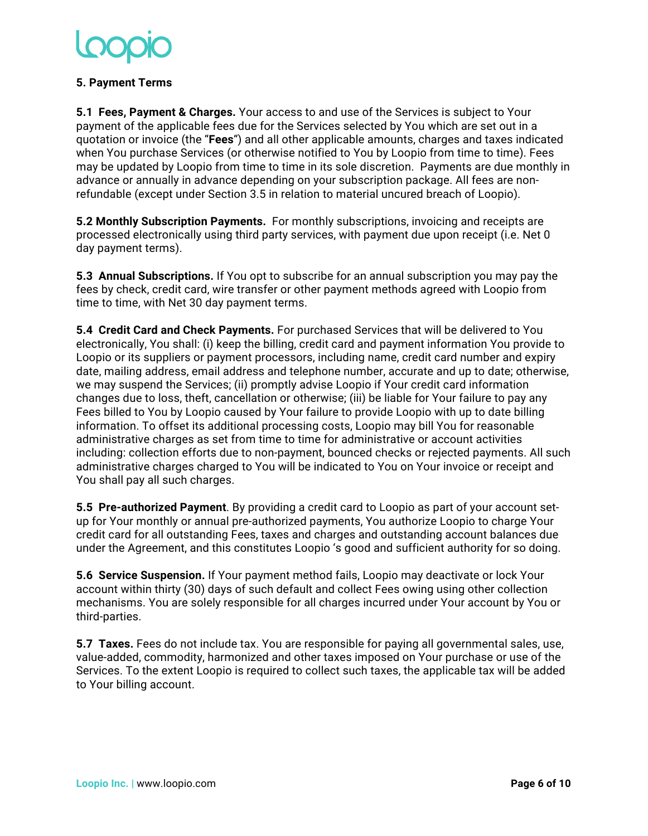### **5. Payment Terms**

**5.1 Fees, Payment & Charges.** Your access to and use of the Services is subject to Your payment of the applicable fees due for the Services selected by You which are set out in a quotation or invoice (the "**Fees**") and all other applicable amounts, charges and taxes indicated when You purchase Services (or otherwise notified to You by Loopio from time to time). Fees may be updated by Loopio from time to time in its sole discretion. Payments are due monthly in advance or annually in advance depending on your subscription package. All fees are nonrefundable (except under Section 3.5 in relation to material uncured breach of Loopio).

**5.2 Monthly Subscription Payments.** For monthly subscriptions, invoicing and receipts are processed electronically using third party services, with payment due upon receipt (i.e. Net 0 day payment terms).

**5.3 Annual Subscriptions.** If You opt to subscribe for an annual subscription you may pay the fees by check, credit card, wire transfer or other payment methods agreed with Loopio from time to time, with Net 30 day payment terms.

**5.4 Credit Card and Check Payments.** For purchased Services that will be delivered to You electronically, You shall: (i) keep the billing, credit card and payment information You provide to Loopio or its suppliers or payment processors, including name, credit card number and expiry date, mailing address, email address and telephone number, accurate and up to date; otherwise, we may suspend the Services; (ii) promptly advise Loopio if Your credit card information changes due to loss, theft, cancellation or otherwise; (iii) be liable for Your failure to pay any Fees billed to You by Loopio caused by Your failure to provide Loopio with up to date billing information. To offset its additional processing costs, Loopio may bill You for reasonable administrative charges as set from time to time for administrative or account activities including: collection efforts due to non-payment, bounced checks or rejected payments. All such administrative charges charged to You will be indicated to You on Your invoice or receipt and You shall pay all such charges.

**5.5 Pre-authorized Payment**. By providing a credit card to Loopio as part of your account setup for Your monthly or annual pre-authorized payments, You authorize Loopio to charge Your credit card for all outstanding Fees, taxes and charges and outstanding account balances due under the Agreement, and this constitutes Loopio 's good and sufficient authority for so doing.

**5.6 Service Suspension.** If Your payment method fails, Loopio may deactivate or lock Your account within thirty (30) days of such default and collect Fees owing using other collection mechanisms. You are solely responsible for all charges incurred under Your account by You or third-parties.

**5.7 Taxes.** Fees do not include tax. You are responsible for paying all governmental sales, use, value-added, commodity, harmonized and other taxes imposed on Your purchase or use of the Services. To the extent Loopio is required to collect such taxes, the applicable tax will be added to Your billing account.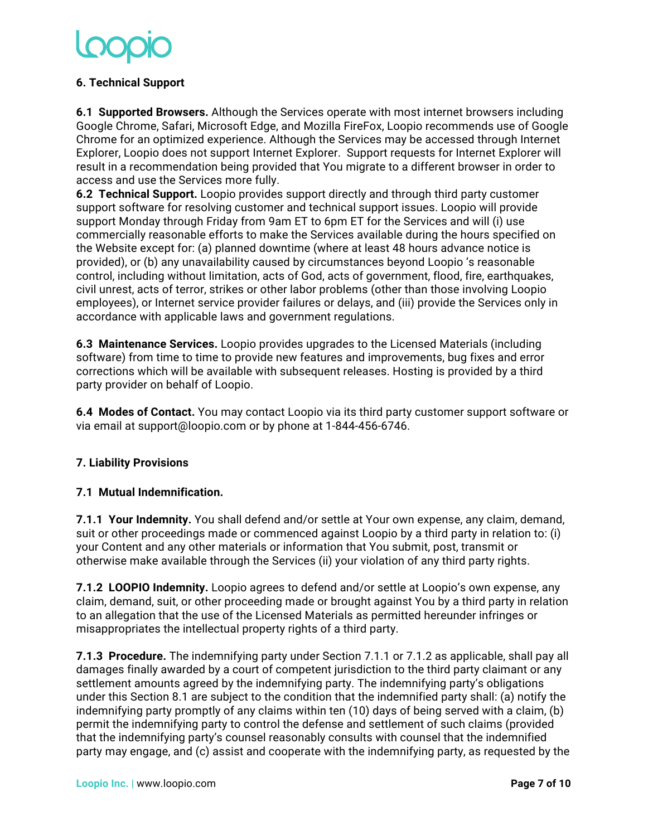## **6. Technical Support**

**6.1 Supported Browsers.** Although the Services operate with most internet browsers including Google Chrome, Safari, Microsoft Edge, and Mozilla FireFox, Loopio recommends use of Google Chrome for an optimized experience. Although the Services may be accessed through Internet Explorer, Loopio does not support Internet Explorer. Support requests for Internet Explorer will result in a recommendation being provided that You migrate to a different browser in order to access and use the Services more fully.

**6.2 Technical Support.** Loopio provides support directly and through third party customer support software for resolving customer and technical support issues. Loopio will provide support Monday through Friday from 9am ET to 6pm ET for the Services and will (i) use commercially reasonable efforts to make the Services available during the hours specified on the Website except for: (a) planned downtime (where at least 48 hours advance notice is provided), or (b) any unavailability caused by circumstances beyond Loopio 's reasonable control, including without limitation, acts of God, acts of government, flood, fire, earthquakes, civil unrest, acts of terror, strikes or other labor problems (other than those involving Loopio employees), or Internet service provider failures or delays, and (iii) provide the Services only in accordance with applicable laws and government regulations.

**6.3 Maintenance Services.** Loopio provides upgrades to the Licensed Materials (including software) from time to time to provide new features and improvements, bug fixes and error corrections which will be available with subsequent releases. Hosting is provided by a third party provider on behalf of Loopio.

**6.4 Modes of Contact.** You may contact Loopio via its third party customer support software or via email at support@loopio.com or by phone at 1-844-456-6746.

### **7. Liability Provisions**

### **7.1 Mutual Indemnification.**

**7.1.1****Your Indemnity.** You shall defend and/or settle at Your own expense, any claim, demand, suit or other proceedings made or commenced against Loopio by a third party in relation to: (i) your Content and any other materials or information that You submit, post, transmit or otherwise make available through the Services (ii) your violation of any third party rights.

**7.1.2 LOOPIO Indemnity.** Loopio agrees to defend and/or settle at Loopio's own expense, any claim, demand, suit, or other proceeding made or brought against You by a third party in relation to an allegation that the use of the Licensed Materials as permitted hereunder infringes or misappropriates the intellectual property rights of a third party.

**7.1.3 Procedure.** The indemnifying party under Section 7.1.1 or 7.1.2 as applicable, shall pay all damages finally awarded by a court of competent jurisdiction to the third party claimant or any settlement amounts agreed by the indemnifying party. The indemnifying party's obligations under this Section 8.1 are subject to the condition that the indemnified party shall: (a) notify the indemnifying party promptly of any claims within ten (10) days of being served with a claim, (b) permit the indemnifying party to control the defense and settlement of such claims (provided that the indemnifying party's counsel reasonably consults with counsel that the indemnified party may engage, and (c) assist and cooperate with the indemnifying party, as requested by the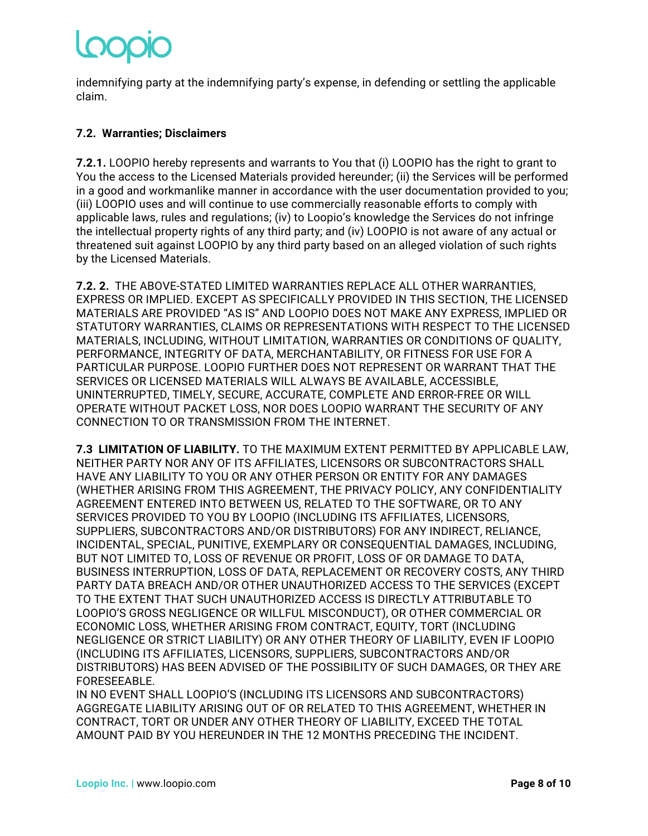indemnifying party at the indemnifying party's expense, in defending or settling the applicable claim.

# **7.2. Warranties; Disclaimers**

**7.2.1.** LOOPIO hereby represents and warrants to You that (i) LOOPIO has the right to grant to You the access to the Licensed Materials provided hereunder; (ii) the Services will be performed in a good and workmanlike manner in accordance with the user documentation provided to you; (iii) LOOPIO uses and will continue to use commercially reasonable efforts to comply with applicable laws, rules and regulations; (iv) to Loopio's knowledge the Services do not infringe the intellectual property rights of any third party; and (iv) LOOPIO is not aware of any actual or threatened suit against LOOPIO by any third party based on an alleged violation of such rights by the Licensed Materials.

**7.2. 2.** THE ABOVE-STATED LIMITED WARRANTIES REPLACE ALL OTHER WARRANTIES, EXPRESS OR IMPLIED. EXCEPT AS SPECIFICALLY PROVIDED IN THIS SECTION, THE LICENSED MATERIALS ARE PROVIDED "AS IS" AND LOOPIO DOES NOT MAKE ANY EXPRESS, IMPLIED OR STATUTORY WARRANTIES, CLAIMS OR REPRESENTATIONS WITH RESPECT TO THE LICENSED MATERIALS, INCLUDING, WITHOUT LIMITATION, WARRANTIES OR CONDITIONS OF QUALITY, PERFORMANCE, INTEGRITY OF DATA, MERCHANTABILITY, OR FITNESS FOR USE FOR A PARTICULAR PURPOSE. LOOPIO FURTHER DOES NOT REPRESENT OR WARRANT THAT THE SERVICES OR LICENSED MATERIALS WILL ALWAYS BE AVAILABLE, ACCESSIBLE, UNINTERRUPTED, TIMELY, SECURE, ACCURATE, COMPLETE AND ERROR-FREE OR WILL OPERATE WITHOUT PACKET LOSS, NOR DOES LOOPIO WARRANT THE SECURITY OF ANY CONNECTION TO OR TRANSMISSION FROM THE INTERNET.

**7.3 LIMITATION OF LIABILITY.** TO THE MAXIMUM EXTENT PERMITTED BY APPLICABLE LAW, NEITHER PARTY NOR ANY OF ITS AFFILIATES, LICENSORS OR SUBCONTRACTORS SHALL HAVE ANY LIABILITY TO YOU OR ANY OTHER PERSON OR ENTITY FOR ANY DAMAGES (WHETHER ARISING FROM THIS AGREEMENT, THE PRIVACY POLICY, ANY CONFIDENTIALITY AGREEMENT ENTERED INTO BETWEEN US, RELATED TO THE SOFTWARE, OR TO ANY SERVICES PROVIDED TO YOU BY LOOPIO (INCLUDING ITS AFFILIATES, LICENSORS, SUPPLIERS, SUBCONTRACTORS AND/OR DISTRIBUTORS) FOR ANY INDIRECT, RELIANCE, INCIDENTAL, SPECIAL, PUNITIVE, EXEMPLARY OR CONSEQUENTIAL DAMAGES, INCLUDING, BUT NOT LIMITED TO, LOSS OF REVENUE OR PROFIT, LOSS OF OR DAMAGE TO DATA, BUSINESS INTERRUPTION, LOSS OF DATA, REPLACEMENT OR RECOVERY COSTS, ANY THIRD PARTY DATA BREACH AND/OR OTHER UNAUTHORIZED ACCESS TO THE SERVICES (EXCEPT TO THE EXTENT THAT SUCH UNAUTHORIZED ACCESS IS DIRECTLY ATTRIBUTABLE TO LOOPIO'S GROSS NEGLIGENCE OR WILLFUL MISCONDUCT), OR OTHER COMMERCIAL OR ECONOMIC LOSS, WHETHER ARISING FROM CONTRACT, EQUITY, TORT (INCLUDING NEGLIGENCE OR STRICT LIABILITY) OR ANY OTHER THEORY OF LIABILITY, EVEN IF LOOPIO (INCLUDING ITS AFFILIATES, LICENSORS, SUPPLIERS, SUBCONTRACTORS AND/OR DISTRIBUTORS) HAS BEEN ADVISED OF THE POSSIBILITY OF SUCH DAMAGES, OR THEY ARE FORESEEABLE.

IN NO EVENT SHALL LOOPIO'S (INCLUDING ITS LICENSORS AND SUBCONTRACTORS) AGGREGATE LIABILITY ARISING OUT OF OR RELATED TO THIS AGREEMENT, WHETHER IN CONTRACT, TORT OR UNDER ANY OTHER THEORY OF LIABILITY, EXCEED THE TOTAL AMOUNT PAID BY YOU HEREUNDER IN THE 12 MONTHS PRECEDING THE INCIDENT.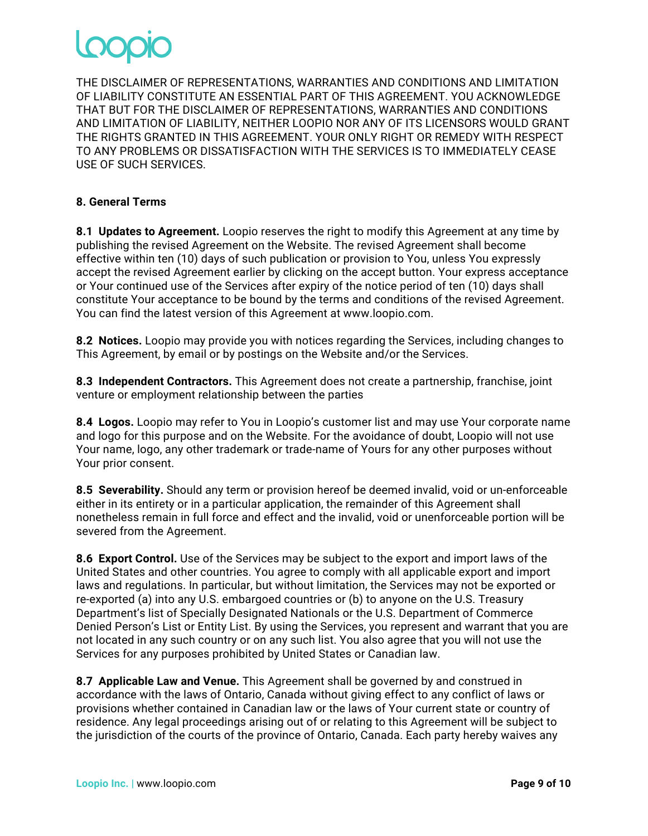THE DISCLAIMER OF REPRESENTATIONS, WARRANTIES AND CONDITIONS AND LIMITATION OF LIABILITY CONSTITUTE AN ESSENTIAL PART OF THIS AGREEMENT. YOU ACKNOWLEDGE THAT BUT FOR THE DISCLAIMER OF REPRESENTATIONS, WARRANTIES AND CONDITIONS AND LIMITATION OF LIABILITY, NEITHER LOOPIO NOR ANY OF ITS LICENSORS WOULD GRANT THE RIGHTS GRANTED IN THIS AGREEMENT. YOUR ONLY RIGHT OR REMEDY WITH RESPECT TO ANY PROBLEMS OR DISSATISFACTION WITH THE SERVICES IS TO IMMEDIATELY CEASE USE OF SUCH SERVICES.

### **8. General Terms**

**8.1 Updates to Agreement.** Loopio reserves the right to modify this Agreement at any time by publishing the revised Agreement on the Website. The revised Agreement shall become effective within ten (10) days of such publication or provision to You, unless You expressly accept the revised Agreement earlier by clicking on the accept button. Your express acceptance or Your continued use of the Services after expiry of the notice period of ten (10) days shall constitute Your acceptance to be bound by the terms and conditions of the revised Agreement. You can find the latest version of this Agreement at www.loopio.com.

**8.2 Notices.** Loopio may provide you with notices regarding the Services, including changes to This Agreement, by email or by postings on the Website and/or the Services.

**8.3 Independent Contractors.** This Agreement does not create a partnership, franchise, joint venture or employment relationship between the parties

**8.4 Logos.** Loopio may refer to You in Loopio's customer list and may use Your corporate name and logo for this purpose and on the Website. For the avoidance of doubt, Loopio will not use Your name, logo, any other trademark or trade-name of Yours for any other purposes without Your prior consent.

**8.5 Severability.** Should any term or provision hereof be deemed invalid, void or un-enforceable either in its entirety or in a particular application, the remainder of this Agreement shall nonetheless remain in full force and effect and the invalid, void or unenforceable portion will be severed from the Agreement.

**8.6 Export Control.** Use of the Services may be subject to the export and import laws of the United States and other countries. You agree to comply with all applicable export and import laws and regulations. In particular, but without limitation, the Services may not be exported or re-exported (a) into any U.S. embargoed countries or (b) to anyone on the U.S. Treasury Department's list of Specially Designated Nationals or the U.S. Department of Commerce Denied Person's List or Entity List. By using the Services, you represent and warrant that you are not located in any such country or on any such list. You also agree that you will not use the Services for any purposes prohibited by United States or Canadian law.

**8.7 Applicable Law and Venue.** This Agreement shall be governed by and construed in accordance with the laws of Ontario, Canada without giving effect to any conflict of laws or provisions whether contained in Canadian law or the laws of Your current state or country of residence. Any legal proceedings arising out of or relating to this Agreement will be subject to the jurisdiction of the courts of the province of Ontario, Canada. Each party hereby waives any